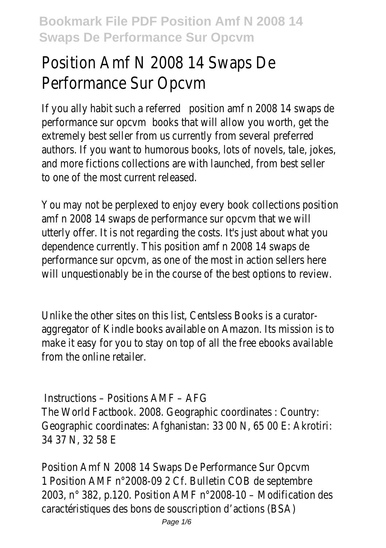# Position Amf N 2008 14 Swaps De Performance Sur Opcvm

If you ally habit such a referred sition amf n 2008 14 swaps de performance sur opcvtooks that will allow you worth, get the extremely best seller from us currently from several preferred authors. If you want to humorous books, lots of novels, tale, jokes, and more fictions collections are with launched, from best seller to one of the most current released.

You may not be perplexed to enjoy every book collections position amf n 2008 14 swaps de performance sur opcvm that we will utterly offer. It is not regarding the costs. It's just about what you dependence currently. This position amf n 2008 14 swaps de performance sur opcvm, as one of the most in action sellers here will unquestionably be in the course of the best options to review.

Unlike the other sites on this list, Centsless Books is a curatoraggregator of Kindle books available on Amazon. Its mission is to make it easy for you to stay on top of all the free ebooks available from the online retailer.

Instructions – Positions AMF – AFG The World Factbook. 2008. Geographic coordinates : Country: Geographic coordinates: Afghanistan: 33 00 N, 65 00 E: Akrotiri: 34 37 N, 32 58 E

Position Amf N 2008 14 Swaps De Performance Sur Opcvm 1 Position AMF n°2008-09 2 Cf. Bulletin COB de septembre 2003, n° 382, p.120. Position AMF n°2008-10 – Modification des caractéristiques des bons de souscription d'actions (BSA)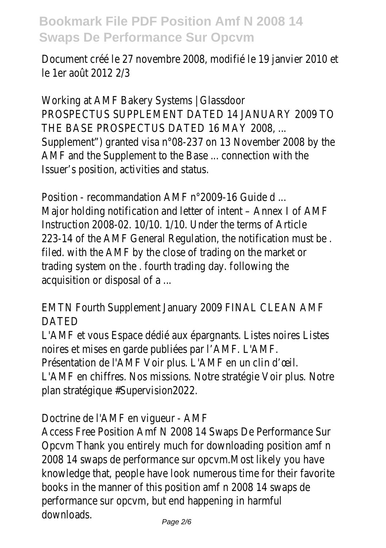Document créé le 27 novembre 2008, modifié le 19 janvier 2010 et le 1er août 2012 2/3

Working at AMF Bakery Systems | Glassdoor PROSPECTUS SUPPLEMENT DATED 14 JANUARY 2009 TO THE BASE PROSPECTUS DATED 16 MAY 2008, ... Supplement") granted visa n°08-237 on 13 November 2008 by the AMF and the Supplement to the Base ... connection with the Issuer's position, activities and status.

Position - recommandation AMF n°2009-16 Guide d ... Major holding notification and letter of intent – Annex I of AMF Instruction 2008-02. 10/10. 1/10. Under the terms of Article 223-14 of the AMF General Regulation, the notification must be . filed. with the AMF by the close of trading on the market or trading system on the . fourth trading day. following the acquisition or disposal of a ...

EMTN Fourth Supplement January 2009 FINAL CLEAN AMF DATED

L'AMF et vous Espace dédié aux épargnants. Listes noires Listes noires et mises en garde publiées par l'AMF. L'AMF.

Présentation de l'AMF Voir plus. L'AMF en un clin d'œil.

L'AMF en chiffres. Nos missions. Notre stratégie Voir plus. Notre plan stratégique #Supervision2022.

Doctrine de l'AMF en vigueur - AMF

Access Free Position Amf N 2008 14 Swaps De Performance Sur Opcvm Thank you entirely much for downloading position amf n 2008 14 swaps de performance sur opcvm.Most likely you have knowledge that, people have look numerous time for their favorite books in the manner of this position amf n 2008 14 swaps de performance sur opcvm, but end happening in harmful downloads.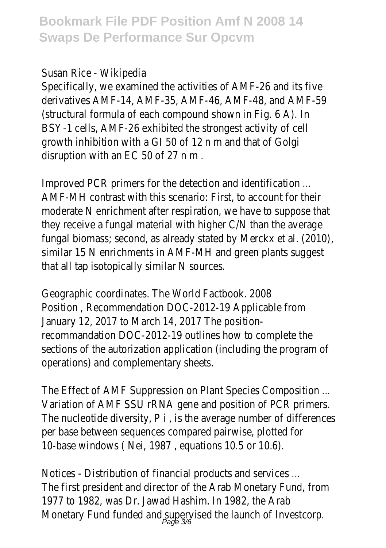#### Susan Rice - Wikipedia

Specifically, we examined the activities of AMF-26 and its five derivatives AMF-14, AMF-35, AMF-46, AMF-48, and AMF-59 (structural formula of each compound shown in Fig. 6 A). In BSY-1 cells, AMF-26 exhibited the strongest activity of cell growth inhibition with a GI 50 of 12 n m and that of Golgi disruption with an EC 50 of 27 n m .

Improved PCR primers for the detection and identification ... AMF-MH contrast with this scenario: First, to account for their moderate N enrichment after respiration, we have to suppose that they receive a fungal material with higher C/N than the average fungal biomass; second, as already stated by Merckx et al. (2010), similar 15 N enrichments in AMF-MH and green plants suggest that all tap isotopically similar N sources.

Geographic coordinates. The World Factbook. 2008 Position , Recommendation DOC-2012-19 Applicable from January 12, 2017 to March 14, 2017 The positionrecommandation DOC-2012-19 outlines how to complete the sections of the autorization application (including the program of operations) and complementary sheets.

The Effect of AMF Suppression on Plant Species Composition ... Variation of AMF SSU rRNA gene and position of PCR primers. The nucleotide diversity, P i , is the average number of differences per base between sequences compared pairwise, plotted for 10-base windows ( Nei, 1987 , equations 10.5 or 10.6).

Notices - Distribution of financial products and services ... The first president and director of the Arab Monetary Fund, from 1977 to 1982, was Dr. Jawad Hashim. In 1982, the Arab Monetary Fund funded and supervised the launch of Investcorp.<br>mage 3%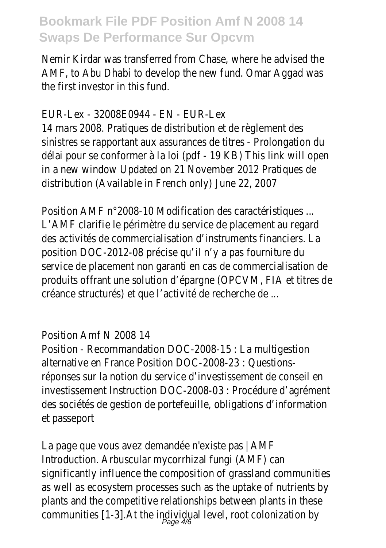Nemir Kirdar was transferred from Chase, where he advised the AMF, to Abu Dhabi to develop the new fund. Omar Aggad was the first investor in this fund.

#### EUR-Lex - 32008E0944 - EN - EUR-Lex

14 mars 2008. Pratiques de distribution et de règlement des sinistres se rapportant aux assurances de titres - Prolongation du délai pour se conformer à la loi (pdf - 19 KB) This link will open in a new window Updated on 21 November 2012 Pratiques de distribution (Available in French only) June 22, 2007

Position AMF n°2008-10 Modification des caractéristiques ... L'AMF clarifie le périmètre du service de placement au regard des activités de commercialisation d'instruments financiers. La position DOC-2012-08 précise qu'il n'y a pas fourniture du service de placement non garanti en cas de commercialisation de produits offrant une solution d'épargne (OPCVM, FIA et titres de créance structurés) et que l'activité de recherche de ...

#### Position Amf N 2008 14

Position - Recommandation DOC-2008-15 : La multigestion alternative en France Position DOC-2008-23 : Questionsréponses sur la notion du service d'investissement de conseil en investissement Instruction DOC-2008-03 : Procédure d'agrément des sociétés de gestion de portefeuille, obligations d'information et passeport

La page que vous avez demandée n'existe pas | AMF Introduction. Arbuscular mycorrhizal fungi (AMF) can significantly influence the composition of grassland communities as well as ecosystem processes such as the uptake of nutrients by plants and the competitive relationships between plants in these communities [1-3].At the individual level, root colonization by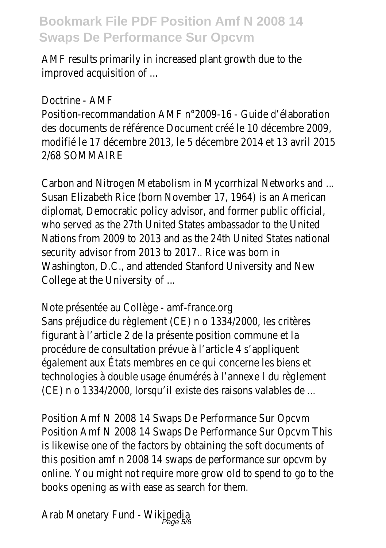AMF results primarily in increased plant growth due to the improved acquisition of ...

Doctrine - AMF

Position-recommandation AMF n°2009-16 - Guide d'élaboration des documents de référence Document créé le 10 décembre 2009, modifié le 17 décembre 2013, le 5 décembre 2014 et 13 avril 2015 2/68 SOMMAIRE

Carbon and Nitrogen Metabolism in Mycorrhizal Networks and ... Susan Elizabeth Rice (born November 17, 1964) is an American diplomat, Democratic policy advisor, and former public official, who served as the 27th United States ambassador to the United Nations from 2009 to 2013 and as the 24th United States national security advisor from 2013 to 2017.. Rice was born in Washington, D.C., and attended Stanford University and New College at the University of ...

Note présentée au Collège - amf-france.org Sans préjudice du règlement (CE) n o 1334/2000, les critères figurant à l'article 2 de la présente position commune et la procédure de consultation prévue à l'article 4 s'appliquent également aux États membres en ce qui concerne les biens et technologies à double usage énumérés à l'annexe I du règlement (CE) n o 1334/2000, lorsqu'il existe des raisons valables de ...

Position Amf N 2008 14 Swaps De Performance Sur Opcvm Position Amf N 2008 14 Swaps De Performance Sur Opcvm This is likewise one of the factors by obtaining the soft documents of this position amf n 2008 14 swaps de performance sur opcvm by online. You might not require more grow old to spend to go to the books opening as with ease as search for them.

Arab Monetary Fund - Wikipedia<br>Page 5/6